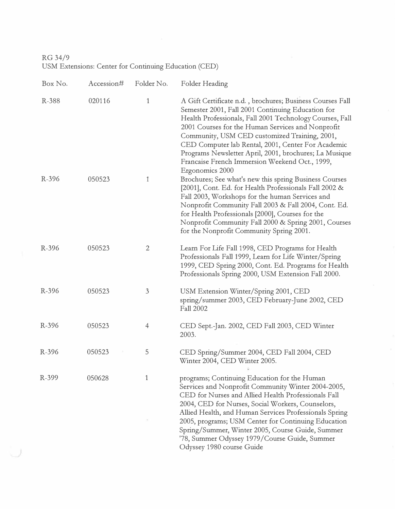RG 34/9 USM Extensions: Center for Continuing Education (CED)

| Box No. | Accession# | Folder No.   | Folder Heading                                                                                                                                                                                                                                                                                                                                                                                                                                                        |
|---------|------------|--------------|-----------------------------------------------------------------------------------------------------------------------------------------------------------------------------------------------------------------------------------------------------------------------------------------------------------------------------------------------------------------------------------------------------------------------------------------------------------------------|
| R-388   | 020116     | 1            | A Gift Certificate n.d., brochures; Business Courses Fall<br>Semester 2001, Fall 2001 Continuing Education for<br>Health Professionals, Fall 2001 Technology Courses, Fall<br>2001 Courses for the Human Services and Nonprofit<br>Community, USM CED customized Training, 2001,<br>CED Computer lab Rental, 2001, Center For Academic<br>Programs Newsletter April, 2001, brochures; La Musique<br>Francaise French Immersion Weekend Oct., 1999,<br>Ergonomics 2000 |
| R-396   | 050523     | 1            | Brochures; See what's new this spring Business Courses<br>[2001], Cont. Ed. for Health Professionals Fall 2002 &<br>Fall 2003, Workshops for the human Services and<br>Nonprofit Community Fall 2003 & Fall 2004, Cont. Ed.<br>for Health Professionals [2000], Courses for the<br>Nonprofit Community Fall 2000 & Spring 2001, Courses<br>for the Nonprofit Community Spring 2001.                                                                                   |
| R-396   | 050523     | $\mathbf{2}$ | Learn For Life Fall 1998, CED Programs for Health<br>Professionals Fall 1999, Learn for Life Winter/Spring<br>1999, CED Spring 2000, Cont. Ed. Programs for Health<br>Professionals Spring 2000, USM Extension Fall 2000.                                                                                                                                                                                                                                             |
| R-396   | 050523     | 3            | USM Extension Winter/Spring 2001, CED<br>spring/summer 2003, CED February-June 2002, CED<br><b>Fall 2002</b>                                                                                                                                                                                                                                                                                                                                                          |
| R-396   | 050523     | 4            | CED Sept.-Jan. 2002, CED Fall 2003, CED Winter<br>2003.                                                                                                                                                                                                                                                                                                                                                                                                               |
| R-396   | 050523     | 5            | CED Spring/Summer 2004, CED Fall 2004, CED<br>Winter 2004, CED Winter 2005.                                                                                                                                                                                                                                                                                                                                                                                           |
| R-399   | 050628     | 1            | programs; Continuing Education for the Human<br>Services and Nonprofit Community Winter 2004-2005,<br>CED for Nurses and Allied Health Professionals Fall<br>2004, CED for Nurses, Social Workers, Counselors,<br>Allied Health, and Human Services Professionals Spring<br>2005, programs; USM Center for Continuing Education<br>Spring/Summer, Winter 2005, Course Guide, Summer<br>'78, Summer Odyssey 1979/Course Guide, Summer<br>Odyssey 1980 course Guide     |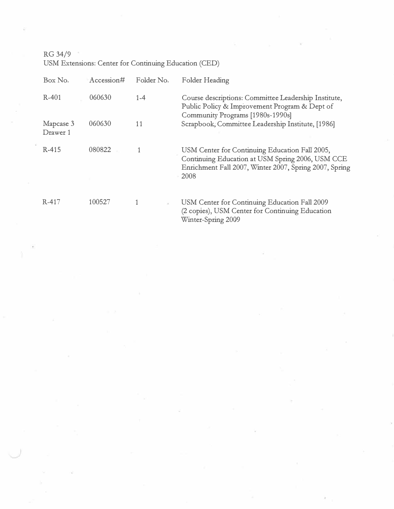RG 34/9

USM Extensions: Center for Continuing Education (CED)

| Box No.               | Accession# | Folder No.           | Folder Heading                                                                                                                                                       |
|-----------------------|------------|----------------------|----------------------------------------------------------------------------------------------------------------------------------------------------------------------|
| R-401                 | 060630     | $1 - 4$              | Course descriptions: Committee Leadership Institute,<br>Public Policy & Improvement Program & Dept of<br>Community Programs [1980s-1990s]                            |
| Mapcase 3<br>Drawer 1 | 060630     | 11                   | Scrapbook, Committee Leadership Institute, [1986]                                                                                                                    |
| R-415                 | 080822     |                      | USM Center for Continuing Education Fall 2005,<br>Continuing Education at USM Spring 2006, USM CCE<br>Enrichment Fall 2007, Winter 2007, Spring 2007, Spring<br>2008 |
| R-417                 | 100527     | $\hat{\mathbf{a}}$ : | USM Center for Continuing Education Fall 2009<br>(2 copies), USM Center for Continuing Education                                                                     |

(2 copies), USM Center for Continuing Education Winter-Spring 2009